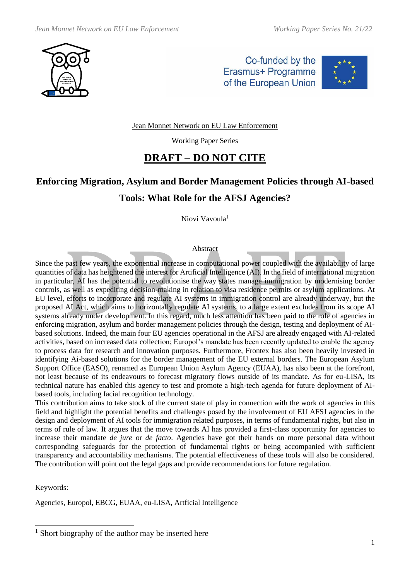

Co-funded by the Erasmus+ Programme of the European Union



Jean Monnet Network on EU Law Enforcement

Working Paper Series

## **DRAFT – DO NOT CITE**

# **Enforcing Migration, Asylum and Border Management Policies through AI-based Tools: What Role for the AFSJ Agencies?**

Niovi Vavoula<sup>1</sup>

#### Abstract

Since the past few years, the exponential increase in computational power coupled with the availability of large quantities of data has heightened the interest for Artificial Intelligence (AI). In the field of international migration in particular, AI has the potential to revolutionise the way states manage immigration by modernising border controls, as well as expediting decision-making in relation to visa residence permits or asylum applications. At EU level, efforts to incorporate and regulate AI systems in immigration control are already underway, but the proposed AI Act, which aims to horizontally regulate AI systems, to a large extent excludes from its scope AI systems already under development. In this regard, much less attention has been paid to the role of agencies in enforcing migration, asylum and border management policies through the design, testing and deployment of AIbased solutions. Indeed, the main four EU agencies operational in the AFSJ are already engaged with AI-related activities, based on increased data collection; Europol's mandate has been recently updated to enable the agency to process data for research and innovation purposes. Furthermore, Frontex has also been heavily invested in identifying Ai-based solutions for the border management of the EU external borders. The European Asylum Support Office (EASO), renamed as European Union Asylum Agency (EUAA), has also been at the forefront, not least because of its endeavours to forecast migratory flows outside of its mandate. As for eu-LISA, its technical nature has enabled this agency to test and promote a high-tech agenda for future deployment of AIbased tools, including facial recognition technology.

This contribution aims to take stock of the current state of play in connection with the work of agencies in this field and highlight the potential benefits and challenges posed by the involvement of EU AFSJ agencies in the design and deployment of AI tools for immigration related purposes, in terms of fundamental rights, but also in terms of rule of law. It argues that the move towards AI has provided a first-class opportunity for agencies to increase their mandate *de jure* or *de facto*. Agencies have got their hands on more personal data without corresponding safeguards for the protection of fundamental rights or being accompanied with sufficient transparency and accountability mechanisms. The potential effectiveness of these tools will also be considered. The contribution will point out the legal gaps and provide recommendations for future regulation.

Keywords:

Agencies, Europol, EBCG, EUAA, eu-LISA, Artficial Intelligence

 $1$  Short biography of the author may be inserted here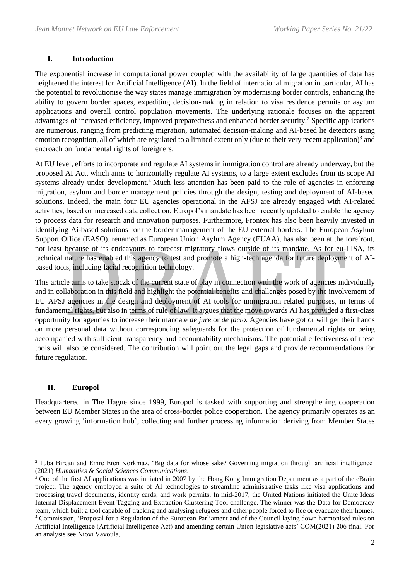#### **I. Introduction**

The exponential increase in computational power coupled with the availability of large quantities of data has heightened the interest for Artificial Intelligence (AI). In the field of international migration in particular, AI has the potential to revolutionise the way states manage immigration by modernising border controls, enhancing the ability to govern border spaces, expediting decision-making in relation to visa residence permits or asylum applications and overall control population movements. The underlying rationale focuses on the apparent advantages of increased efficiency, improved preparedness and enhanced border security.<sup>2</sup> Specific applications are numerous, ranging from predicting migration, automated decision-making and AI-based lie detectors using emotion recognition, all of which are regulated to a limited extent only (due to their very recent application)<sup>3</sup> and encroach on fundamental rights of foreigners.

At EU level, efforts to incorporate and regulate AI systems in immigration control are already underway, but the proposed AI Act, which aims to horizontally regulate AI systems, to a large extent excludes from its scope AI systems already under development.<sup>4</sup> Much less attention has been paid to the role of agencies in enforcing migration, asylum and border management policies through the design, testing and deployment of AI-based solutions. Indeed, the main four EU agencies operational in the AFSJ are already engaged with AI-related activities, based on increased data collection; Europol's mandate has been recently updated to enable the agency to process data for research and innovation purposes. Furthermore, Frontex has also been heavily invested in identifying Ai-based solutions for the border management of the EU external borders. The European Asylum Support Office (EASO), renamed as European Union Asylum Agency (EUAA), has also been at the forefront, not least because of its endeavours to forecast migratory flows outside of its mandate. As for eu-LISA, its technical nature has enabled this agency to test and promote a high-tech agenda for future deployment of AIbased tools, including facial recognition technology.

This article aims to take stoczk of the current state of play in connection with the work of agencies individually and in collaboration in this field and highlight the potential benefits and challenges posed by the involvement of EU AFSJ agencies in the design and deployment of AI tools for immigration related purposes, in terms of fundamental rights, but also in terms of rule of law. It argues that the move towards AI has provided a first-class opportunity for agencies to increase their mandate *de jure* or *de facto*. Agencies have got or will get their hands on more personal data without corresponding safeguards for the protection of fundamental rights or being accompanied with sufficient transparency and accountability mechanisms. The potential effectiveness of these tools will also be considered. The contribution will point out the legal gaps and provide recommendations for future regulation.

#### **II. Europol**

Headquartered in The Hague since 1999, Europol is tasked with supporting and strengthening cooperation between EU Member States in the area of cross-border police cooperation. The agency primarily operates as an every growing 'information hub', collecting and further processing information deriving from Member States

<sup>2</sup> Tuba Bircan and Emre Eren Korkmaz, 'Big data for whose sake? Governing migration through artificial intelligence' (2021) *Humanities & Social Sciences Communications*.

<sup>&</sup>lt;sup>3</sup> One of the first AI applications was initiated in 2007 by the Hong Kong Immigration Department as a part of the eBrain project. The agency employed a suite of AI technologies to streamline administrative tasks like visa applications and processing travel documents, identity cards, and work permits. In mid-2017, the United Nations initiated the Unite Ideas Internal Displacement Event Tagging and Extraction Clustering Tool challenge. The winner was the Data for Democracy team, which built a tool capable of tracking and analysing refugees and other people forced to flee or evacuate their homes. <sup>4</sup> Commission, 'Proposal for a Regulation of the European Parliament and of the Council laying down harmonised rules on Artificial Intelligence (Artificial Intelligence Act) and amending certain Union legislative acts' COM(2021) 206 final. For an analysis see Niovi Vavoula,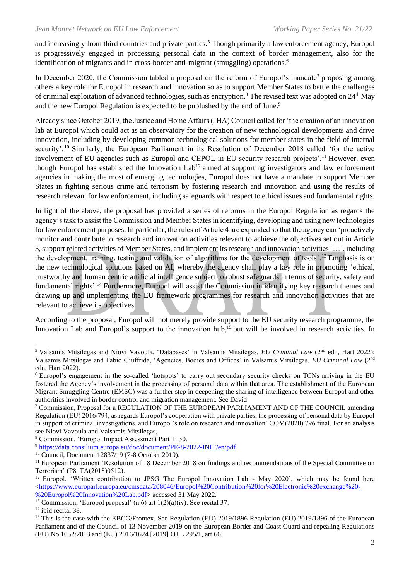and increasingly from third countries and private parties.<sup>5</sup> Though primarily a law enforcement agency, Europol is progressively engaged in processing personal data in the context of border management, also for the identification of migrants and in cross-border anti-migrant (smuggling) operations.<sup>6</sup>

In December 2020, the Commission tabled a proposal on the reform of Europol's mandate<sup>7</sup> proposing among others a key role for Europol in research and innovation so as to support Member States to battle the challenges of criminal exploitation of advanced technologies, such as encryption.<sup>8</sup> The revised text was adopted on 24<sup>th</sup> May and the new Europol Regulation is expected to be publushed by the end of June.<sup>9</sup>

Already since October 2019, the Justice and Home Affairs (JHA) Council called for 'the creation of an innovation lab at Europol which could act as an observatory for the creation of new technological developments and drive innovation, including by developing common technological solutions for member states in the field of internal security'. <sup>10</sup> Similarly, the European Parliament in its Resolution of December 2018 called 'for the active involvement of EU agencies such as Europol and CEPOL in EU security research projects'.<sup>11</sup> However, even though Europol has established the Innovation  $Lab<sup>12</sup>$  aimed at supporting investigators and law enforcement agencies in making the most of emerging technologies, Europol does not have a mandate to support Member States in fighting serious crime and terrorism by fostering research and innovation and using the results of research relevant for law enforcement, including safeguards with respect to ethical issues and fundamental rights.

In light of the above, the proposal has provided a series of reforms in the Europol Regulation as regards the agency's task to assist the Commission and Member States in identifying, developing and using new technologies for law enforcement purposes. In particular, the rules of Article 4 are expanded so that the agency can 'proactively monitor and contribute to research and innovation activities relevant to achieve the objectives set out in Article 3, support related activities of Member States, and implement its research and innovation activities […], including the development, training, testing and validation of algorithms for the development of tools'.<sup>13</sup> Emphasis is on the new technological solutions based on AI, whereby the agency shall play a key role in promoting 'ethical, trustworthy and human centric artificial intelligence subject to robust safeguards in terms of security, safety and fundamental rights'.<sup>14</sup> Furthermore, Europol will assist the Commission in identifying key research themes and drawing up and implementing the EU framework programmes for research and innovation activities that are relevant to achieve its objectives.

According to the proposal, Europol will not merely provide support to the EU security research programme, the Innovation Lab and Europol's support to the innovation hub,<sup>15</sup> but will be involved in research activities. In

<sup>5</sup> Valsamis Mitsilegas and Niovi Vavoula, 'Databases' in Valsamis Mitsilegas, *EU Criminal Law* (2nd edn, Hart 2022); Valsamis Mitsilegas and Fabio Giuffrida, 'Agencies, Bodies and Offices' in Valsamis Mitsilegas, *EU Criminal Law* (2nd edn, Hart 2022).

<sup>&</sup>lt;sup>6</sup> Europol's engagement in the so-called 'hotspots' to carry out secondary security checks on TCNs arriving in the EU fostered the Agency's involvement in the processing of personal data within that area. The establishment of the European Migrant Smuggling Centre (EMSC) was a further step in deepening the sharing of intelligence between Europol and other authorities involved in border control and migration management. See David

<sup>7</sup> Commission, Proposal for a REGULATION OF THE EUROPEAN PARLIAMENT AND OF THE COUNCIL amending Regulation (EU) 2016/794, as regards Europol's cooperation with private parties, the processing of personal data by Europol in support of criminal investigations, and Europol's role on research and innovation' COM(2020) 796 final. For an analysis see Niovi Vavoula and Valsamis Mitsilegas,

<sup>8</sup> Commission, 'Europol Impact Assessment Part 1' 30.

<sup>9</sup> <https://data.consilium.europa.eu/doc/document/PE-8-2022-INIT/en/pdf>

<sup>10</sup> Council, Document 12837/19 (7-8 October 2019).

<sup>&</sup>lt;sup>11</sup> European Parliament 'Resolution of 18 December 2018 on findings and recommendations of the Special Committee on Terrorism' (P8\_TA(2018)0512).

<sup>&</sup>lt;sup>12</sup> Europol, 'Written contribution to JPSG The Europol Innovation Lab - May 2020', which may be found here  $\lt$ https://www.europarl.europa.eu/cmsdata/208046/Europol%20Contribution%20for%20Electronic%20exchange%20-

[<sup>%20</sup>Europol%20Innovation%20Lab.pdf>](https://www.europarl.europa.eu/cmsdata/208046/Europol%20Contribution%20for%20Electronic%20exchange%20-%20Europol%20Innovation%20Lab.pdf) accessed 31 May 2022.

<sup>&</sup>lt;sup>13</sup> Commission, 'Europol proposal'  $(n\ 6)$  art  $1(2)(a)(iv)$ . See recital 37.

<sup>&</sup>lt;sup>14</sup> ibid recital 38.

<sup>&</sup>lt;sup>15</sup> This is the case with the EBCG/Frontex. See Regulation (EU) 2019/1896 Regulation (EU) 2019/1896 of the European Parliament and of the Council of 13 November 2019 on the European Border and Coast Guard and repealing Regulations (EU) No 1052/2013 and (EU) 2016/1624 [2019] OJ L 295/1*,* art 66.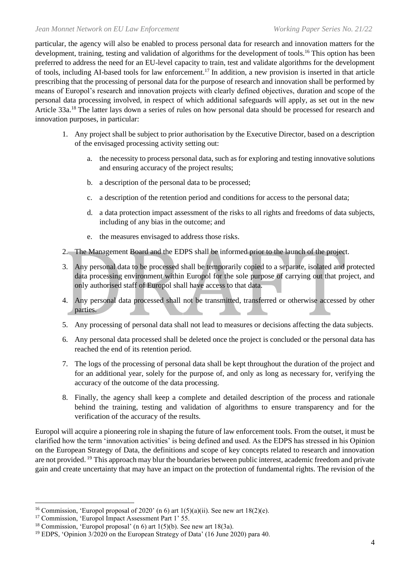particular, the agency will also be enabled to process personal data for research and innovation matters for the development, training, testing and validation of algorithms for the development of tools.<sup>16</sup> This option has been preferred to address the need for an EU-level capacity to train, test and validate algorithms for the development of tools, including AI-based tools for law enforcement.<sup>17</sup> In addition, a new provision is inserted in that article prescribing that the processing of personal data for the purpose of research and innovation shall be performed by means of Europol's research and innovation projects with clearly defined objectives, duration and scope of the personal data processing involved, in respect of which additional safeguards will apply, as set out in the new Article 33a.<sup>18</sup> The latter lays down a series of rules on how personal data should be processed for research and innovation purposes, in particular:

- 1. Any project shall be subject to prior authorisation by the Executive Director, based on a description of the envisaged processing activity setting out:
	- a. the necessity to process personal data, such as for exploring and testing innovative solutions and ensuring accuracy of the project results;
	- b. a description of the personal data to be processed;
	- c. a description of the retention period and conditions for access to the personal data;
	- d. a data protection impact assessment of the risks to all rights and freedoms of data subjects, including of any bias in the outcome; and
	- e. the measures envisaged to address those risks.
- 2. The Management Board and the EDPS shall be informed prior to the launch of the project.
- 3. Any personal data to be processed shall be temporarily copied to a separate, isolated and protected data processing environment within Europol for the sole purpose of carrying out that project, and only authorised staff of Europol shall have access to that data.
- 4. Any personal data processed shall not be transmitted, transferred or otherwise accessed by other parties.
- 5. Any processing of personal data shall not lead to measures or decisions affecting the data subjects.
- 6. Any personal data processed shall be deleted once the project is concluded or the personal data has reached the end of its retention period.
- 7. The logs of the processing of personal data shall be kept throughout the duration of the project and for an additional year, solely for the purpose of, and only as long as necessary for, verifying the accuracy of the outcome of the data processing.
- 8. Finally, the agency shall keep a complete and detailed description of the process and rationale behind the training, testing and validation of algorithms to ensure transparency and for the verification of the accuracy of the results.

Europol will acquire a pioneering role in shaping the future of law enforcement tools. From the outset, it must be clarified how the term 'innovation activities' is being defined and used. As the EDPS has stressed in his Opinion on the European Strategy of Data, the definitions and scope of key concepts related to research and innovation are not provided. <sup>19</sup> This approach may blur the boundaries between public interest, academic freedom and private gain and create uncertainty that may have an impact on the protection of fundamental rights. The revision of the

<sup>&</sup>lt;sup>16</sup> Commission, 'Europol proposal of 2020' (n 6) art  $1(5)(a)(ii)$ . See new art  $18(2)(e)$ .

<sup>&</sup>lt;sup>17</sup> Commission, 'Europol Impact Assessment Part 1' 55.

<sup>&</sup>lt;sup>18</sup> Commission, 'Europol proposal' (n 6) art  $1(5)(b)$ . See new art 18(3a).

<sup>19</sup> EDPS, 'Opinion 3/2020 on the European Strategy of Data' (16 June 2020) para 40.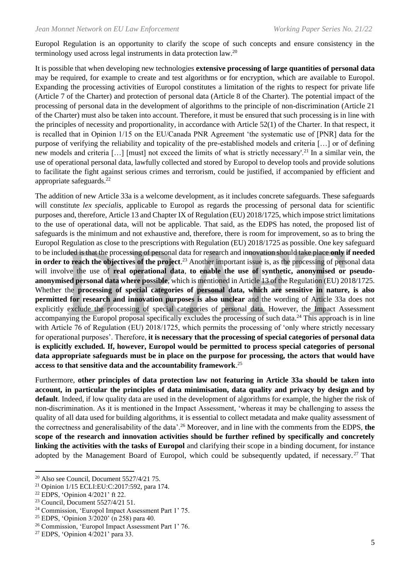Europol Regulation is an opportunity to clarify the scope of such concepts and ensure consistency in the terminology used across legal instruments in data protection law.<sup>20</sup>

It is possible that when developing new technologies **extensive processing of large quantities of personal data** may be required, for example to create and test algorithms or for encryption, which are available to Europol. Expanding the processing activities of Europol constitutes a limitation of the rights to respect for private life (Article 7 of the Charter) and protection of personal data (Article 8 of the Charter). The potential impact of the processing of personal data in the development of algorithms to the principle of non-discrimination (Article 21 of the Charter) must also be taken into account. Therefore, it must be ensured that such processing is in line with the principles of necessity and proportionality, in accordance with Article 52(1) of the Charter. In that respect, it is recalled that in Opinion 1/15 on the EU/Canada PNR Agreement 'the systematic use of [PNR] data for the purpose of verifying the reliability and topicality of the pre-established models and criteria […] or of defining new models and criteria […] [must] not exceed the limits of what is strictly necessary'.<sup>21</sup> In a similar vein, the use of operational personal data, lawfully collected and stored by Europol to develop tools and provide solutions to facilitate the fight against serious crimes and terrorism, could be justified, if accompanied by efficient and appropriate safeguards.<sup>22</sup>

The addition of new Article 33a is a welcome development, as it includes concrete safeguards. These safeguards will constitute *lex specialis*, applicable to Europol as regards the processing of personal data for scientific purposes and, therefore, Article 13 and Chapter IX of Regulation (EU) 2018/1725, which impose strict limitations to the use of operational data, will not be applicable. That said, as the EDPS has noted, the proposed list of safeguards is the minimum and not exhaustive and, therefore, there is room for improvement, so as to bring the Europol Regulation as close to the prescriptions with Regulation (EU) 2018/1725 as possible. One key safeguard to be included is that the processing of personal data for research and innovation should take place **only if needed in order to reach the objectives of the project**. <sup>23</sup> Another important issue is, as the processing of personal data will involve the use of **real operational data**, **to enable the use of synthetic, anonymised or pseudoanonymised personal data where possible**, which is mentioned in Article 13 of the Regulation (EU) 2018/1725. Whether the **processing of special categories of personal data, which are sensitive in nature, is also permitted for research and innovation purposes is also unclear** and the wording of Article 33a does not explicitly exclude the processing of special categories of personal data. However, the Impact Assessment accompanying the Europol proposal specifically excludes the processing of such data.<sup>24</sup> This approach is in line with Article 76 of Regulation (EU) 2018/1725, which permits the processing of 'only where strictly necessary for operational purposes'. Therefore, **it is necessary that the processing of special categories of personal data is explicitly excluded. If, however, Europol would be permitted to process special categories of personal data appropriate safeguards must be in place on the purpose for processing, the actors that would have access to that sensitive data and the accountability framework**. 25

Furthermore, **other principles of data protection law not featuring in Article 33a should be taken into account, in particular the principles of data minimisation, data quality and privacy by design and by default**. Indeed, if low quality data are used in the development of algorithms for example, the higher the risk of non-discrimination. As it is mentioned in the Impact Assessment, 'whereas it may be challenging to assess the quality of all data used for building algorithms, it is essential to collect metadata and make quality assessment of the correctness and generalisability of the data'.<sup>26</sup> Moreover, and in line with the comments from the EDPS, **the scope of the research and innovation activities should be further refined by specifically and concretely linking the activities with the tasks of Europol** and clarifying their scope in a binding document, for instance adopted by the Management Board of Europol, which could be subsequently updated, if necessary.<sup>27</sup> That

<sup>20</sup> Also see Council, Document 5527/4/21 75.

<sup>21</sup> Opinion 1/15 ECLI:EU:C:2017:592, para 174.

<sup>22</sup> EDPS, 'Opinion 4/2021' ft 22.

<sup>23</sup> Council, Document 5527/4/21 51.

<sup>24</sup> Commission, 'Europol Impact Assessment Part 1' 75.

<sup>25</sup> EDPS, 'Opinion 3/2020' (n 258) para 40.

<sup>26</sup> Commission, 'Europol Impact Assessment Part 1' 76.

<sup>27</sup> EDPS, 'Opinion 4/2021' para 33.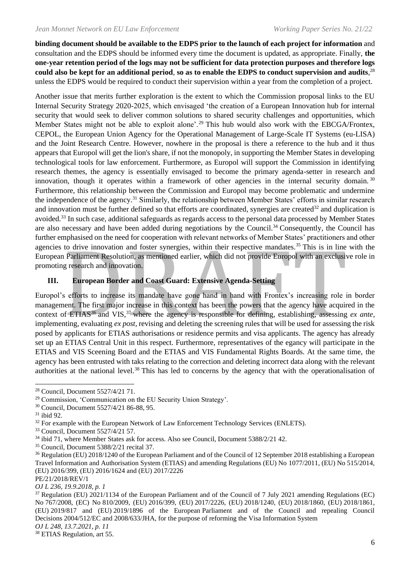**binding document should be available to the EDPS prior to the launch of each project for information** and consultation and the EDPS should be informed every time the document is updated, as appropriate. Finally, **the one-year retention period of the logs may not be sufficient for data protection purposes and therefore logs could also be kept for an additional period**, **so as to enable the EDPS to conduct supervision and audits**, 28 unless the EDPS would be required to conduct their supervision within a year from the completion of a project.

Another issue that merits further exploration is the extent to which the Commission proposal links to the EU Internal Security Strategy 2020-2025, which envisaged 'the creation of a European Innovation hub for internal security that would seek to deliver common solutions to shared security challenges and opportunities, which Member States might not be able to exploit alone'.<sup>29</sup> This hub would also work with the EBCGA/Frontex, CEPOL, the European Union Agency for the Operational Management of Large-Scale IT Systems (eu-LISA) and the Joint Research Centre. However, nowhere in the proposal is there a reference to the hub and it thus appears that Europol will get the lion's share, if not the monopoly, in supporting the Member States in developing technological tools for law enforcement. Furthermore, as Europol will support the Commission in identifying research themes, the agency is essentially envisaged to become the primary agenda-setter in research and innovation, though it operates within a framework of other agencies in the internal security domain. 30 Furthermore, this relationship between the Commission and Europol may become problematic and undermine the independence of the agency.<sup>31</sup> Similarly, the relationship between Member States' efforts in similar research and innovation must be further defined so that efforts are coordinated, synergies are created $32$  and duplication is avoided.<sup>33</sup> In such case, additional safeguards as regards access to the personal data processed by Member States are also necessary and have been added during negotiations by the Council.<sup>34</sup> Consequently, the Council has further emphasised on the need for cooperation with relevant networks of Member States' practitioners and other agencies to drive innovation and foster synergies, within their respective mandates.<sup>35</sup> This is in line with the European Parliament Resolution, as mentioned earlier, which did not provide Europol with an exclusive role in promoting research and innovation.

#### **III. European Border and Coast Guard: Extensive Agenda-Setting**

Europol's efforts to increase its mandate have gone hand in hand with Frontex's increasing role in border management. The first major increase in this context has been the powers that the agency have acquired in the context of ETIAS<sup>36</sup> and VIS,<sup>37</sup> where the agency is responsible for defining, establishing, assessing *ex ante*, implementing, evaluating *ex post*, revising and deleting the screening rules that will be used for assessing the risk posed by applicants for ETIAS authorisations or residence permits and visa applicants. The agency has already set up an ETIAS Central Unit in this respect. Furthermore, representatives of the egancy will participate in the ETIAS and VIS Sceening Board and the ETIAS and VIS Fundamental Rights Boards. At the same time, the agency has been entrusted with taks relating to the correction and deleting incorrect data along with the relevant authorities at the national level.<sup>38</sup> This has led to concerns by the agency that with the operationalisation of

6

<sup>28</sup> Council, Document 5527/4/21 71.

<sup>29</sup> Commission, 'Communication on the EU Security Union Strategy'.

<sup>30</sup> Council, Document 5527/4/21 86-88, 95.

 $31$  ibid 92.

<sup>&</sup>lt;sup>32</sup> For example with the European Network of Law Enforcement Technology Services (ENLETS).

<sup>33</sup> Council, Document 5527/4/21 57.

<sup>&</sup>lt;sup>34</sup> ibid 71, where Member States ask for access. Also see Council, Document 5388/2/21 42.

<sup>35</sup> Council, Document 5388/2/21 recital 37.

<sup>36</sup> Regulation (EU) 2018/1240 of the European Parliament and of the Council of 12 September 2018 establishing a European Travel Information and Authorisation System (ETIAS) and amending Regulations (EU) No 1077/2011, (EU) No 515/2014, (EU) 2016/399, (EU) 2016/1624 and (EU) 2017/2226

PE/21/2018/REV/1

*OJ L 236, 19.9.2018, p. 1*

 $37$  Regulation (EU) 2021/1134 of the European Parliament and of the Council of 7 July 2021 amending Regulations (EC) No 767/2008, (EC) No 810/2009, (EU) 2016/399, (EU) 2017/2226, (EU) 2018/1240, (EU) 2018/1860, (EU) 2018/1861, (EU) 2019/817 and (EU) 2019/1896 of the European Parliament and of the Council and repealing Council Decisions 2004/512/EC and 2008/633/JHA, for the purpose of reforming the Visa Information System *OJ L 248, 13.7.2021, p. 11*

<sup>&</sup>lt;sup>38</sup> ETIAS Regulation, art 55.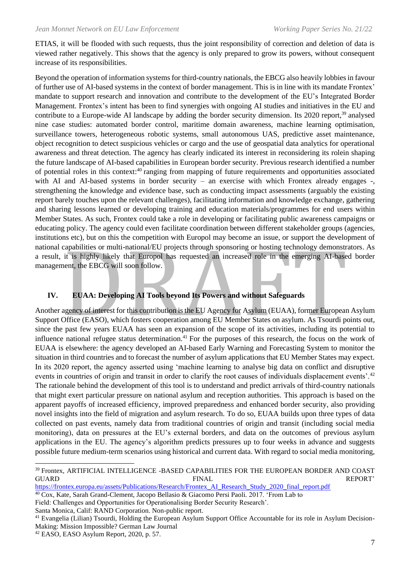ETIAS, it will be flooded with such requests, thus the joint responsibility of correction and deletion of data is viewed rather negatively. This shows that the agency is only prepared to grow its powers, without consequent increase of its responsibilities.

Beyond the operation of information systems for third-country nationals, the EBCG also heavily lobbies in favour of further use of AI-based systems in the context of border management. This is in line with its mandate Frontex' mandate to support research and innovation and contribute to the development of the EU's Integrated Border Management. Frontex's intent has been to find synergies with ongoing AI studies and initiatives in the EU and contribute to a Europe-wide AI landscape by adding the border security dimension. Its 2020 report,<sup>39</sup> analysed nine case studies: automated border control, maritime domain awareness, machine learning optimisation, surveillance towers, heterogeneous robotic systems, small autonomous UAS, predictive asset maintenance, object recognition to detect suspicious vehicles or cargo and the use of geospatial data analytics for operational awareness and threat detection. The agency has clearly indicated its interest in reconsidering its rolein shaping the future landscape of AI-based capabilities in European border security. Previous research identified a number of potential roles in this context:<sup>40</sup> ranging from mapping of future requirements and opportunities associated with AI and AI-based systems in border security – an exercise with which Frontex already engages -, strengthening the knowledge and evidence base, such as conducting impact assessments (arguably the existing report barely touches upon the relevant challenges), facilitating information and knowledge exchange, gathering and sharing lessons learned or developing training and education materials/programmes for end users within Member States. As such, Frontex could take a role in developing or facilitating public awareness campaigns or educating policy. The agency could even facilitate coordination between different stakeholder groups (agencies, institutions etc), but on this the competition with Europol may become an issue, or support the development of national capabilities or multi-national/EU projects through sponsoring or hosting technology demonstrators. As a result, it is highly likely that Europol has requested an increased role in the emerging AI-based border management, the EBCG will soon follow.

#### **IV. EUAA: Developing AI Tools beyond Its Powers and without Safeguards**

Another agency of interest for this contribution is the EU Agency for Asylum (EUAA), former European Asylum Support Office (EASO), which fosters cooperation among EU Member States on asylum. As Tsourdi points out, since the past few years EUAA has seen an expansion of the scope of its activities, including its potential to influence national refugee status determination.<sup>41</sup> For the purposes of this research, the focus on the work of EUAA is elsewhere: the agency developed an AI-based Early Warning and Forecasting System to monitor the situation in third countries and to forecast the number of asylum applications that EU Member States may expect. In its 2020 report, the agency asserted using 'machine learning to analyse big data on conflict and disruptive events in countries of origin and transit in order to clarify the root causes of individuals displacement events'.<sup>42</sup> The rationale behind the development of this tool is to understand and predict arrivals of third-country nationals that might exert particular pressure on national asylum and reception authorities. This approach is based on the apparent payoffs of increased efficiency, improved preparedness and enhanced border security, also providing novel insights into the field of migration and asylum research. To do so, EUAA builds upon three types of data collected on past events, namely data from traditional countries of origin and transit (including social media monitoring), data on pressures at the EU's external borders, and data on the outcomes of previous asylum applications in the EU. The agency's algorithm predicts pressures up to four weeks in advance and suggests possible future medium-term scenarios using historical and current data. With regard to social media monitoring,

Field: Challenges and Opportunities for Operationalising Border Security Research'.

Santa Monica, Calif: RAND Corporation. Non-public report.

<sup>39</sup> Frontex, ARTIFICIAL INTELLIGENCE -BASED CAPABILITIES FOR THE EUROPEAN BORDER AND COAST GUARD FINAL REPORT'

[https://frontex.europa.eu/assets/Publications/Research/Frontex\\_AI\\_Research\\_Study\\_2020\\_final\\_report.pdf](https://frontex.europa.eu/assets/Publications/Research/Frontex_AI_Research_Study_2020_final_report.pdf)

<sup>40</sup> Cox, Kate, Sarah Grand-Clement, Jacopo Bellasio & Giacomo Persi Paoli. 2017. 'From Lab to

<sup>&</sup>lt;sup>41</sup> Evangelia (Lilian) Tsourdi, Holding the European Asylum Support Office Accountable for its role in Asylum Decision-Making: Mission Impossible? German Law Journal

<sup>42</sup> EASO, EASO Asylum Report, 2020, p. 57.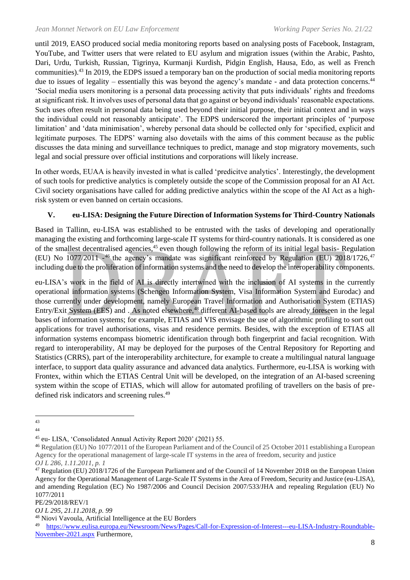until 2019, EASO produced social media monitoring reports based on analysing posts of Facebook, Instagram, YouTube, and Twitter users that were related to EU asylum and migration issues (within the Arabic, Pashto, Dari, Urdu, Turkish, Russian, Tigrinya, Kurmanji Kurdish, Pidgin English, Hausa, Edo, as well as French communities).<sup>43</sup> In 2019, the EDPS issued a temporary ban on the production of social media monitoring reports due to issues of legality – essentially this was beyond the agency's mandate - and data protection concerns.<sup>44</sup> 'Social media users monitoring is a personal data processing activity that puts individuals' rights and freedoms at significant risk. It involves uses of personal data that go against or beyond individuals' reasonable expectations. Such uses often result in personal data being used beyond their initial purpose, their initial context and in ways the individual could not reasonably anticipate'. The EDPS underscored the important principles of 'purpose limitation' and 'data minimisation', whereby personal data should be collected only for 'specified, explicit and legitimate purposes. The EDPS' warning also dovetails with the aims of this comment because as the public discusses the data mining and surveillance techniques to predict, manage and stop migratory movements, such legal and social pressure over official institutions and corporations will likely increase.

In other words, EUAA is heavily invested in what is called 'predicitve analytics'. Interestingly, the development of such tools for predictive analytics is completely outside the scope of the Commission proposal for an AI Act. Civil society organisations have called for adding predictive analytics within the scope of the AI Act as a highrisk system or even banned on certain occasions.

### **V. eu-LISA: Designing the Future Direction of Information Systems for Third-Country Nationals**

Based in Tallinn, eu-LISA was established to be entrusted with the tasks of developing and operationally managing the existing and forthcoming large-scale IT systems for third-country nationals. It is considered as one of the smallest decentralised agencies,<sup>45</sup> even though following the reform of its initial legal basis-Regulation (EU) No 1077/2011 -<sup>46</sup> the agency's mandate was significant reinforced by Regulation (EU) 2018/1726,<sup>47</sup> including due to the proliferation of information systems and the need to develop the interoperability components.

eu-LISA's work in the field of AI is directly intertwined with the inclusion of AI systems in the currently operational information systems (Schengen Information System, Visa Information System and Eurodac) and those currently under development, namely European Travel Information and Authorisation System (ETIAS) Entry/Exit System (EES) and . As noted elsewhere,<sup>48</sup> different AI-based tools are already foreseen in the legal bases of information systems; for example, ETIAS and VIS envisage the use of algorithmic profiling to sort out applications for travel authorisations, visas and residence permits. Besides, with the exception of ETIAS all information systems encompass biometric identification through both fingerprint and facial recognition. With regard to interoperability, AI may be deployed for the purposes of the Central Repository for Reporting and Statistics (CRRS), part of the interoperability architecture, for example to create a multilingual natural language interface, to support data quality assurance and advanced data analytics. Furthermore, eu-LISA is working with Frontex, within which the ETIAS Central Unit will be developed, on the integration of an AI-based screening system within the scope of ETIAS, which will allow for automated profiling of travellers on the basis of predefined risk indicators and screening rules.<sup>49</sup>

<sup>43</sup>

<sup>44</sup>

<sup>45</sup> eu- LISA, 'Consolidated Annual Activity Report 2020' (2021) 55.

<sup>46</sup> Regulation (EU) No 1077/2011 of the European Parliament and of the Council of 25 October 2011 establishing a European Agency for the operational management of large-scale IT systems in the area of freedom, security and justice *OJ L 286, 1.11.2011, p. 1*

<sup>47</sup> Regulation (EU) 2018/1726 of the European Parliament and of the Council of 14 November 2018 on the European Union Agency for the Operational Management of Large-Scale IT Systems in the Area of Freedom, Security and Justice (eu-LISA), and amending Regulation (EC) No 1987/2006 and Council Decision 2007/533/JHA and repealing Regulation (EU) No 1077/2011

PE/29/2018/REV/1

*OJ L 295, 21.11.2018, p. 99*

<sup>48</sup> Niovi Vavoula, Artificial Intelligence at the EU Borders

<sup>49</sup> [https://www.eulisa.europa.eu/Newsroom/News/Pages/Call-for-Expression-of-Interest---eu-LISA-Industry-Roundtable-](https://www.eulisa.europa.eu/Newsroom/News/Pages/Call-for-Expression-of-Interest---eu-LISA-Industry-Roundtable-November-2021.aspx)[November-2021.aspx](https://www.eulisa.europa.eu/Newsroom/News/Pages/Call-for-Expression-of-Interest---eu-LISA-Industry-Roundtable-November-2021.aspx) Furthermore,